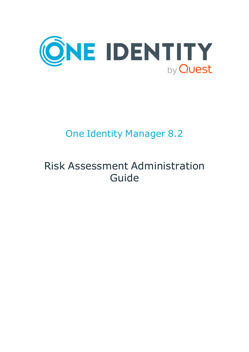

# One Identity Manager 8.2

# Risk Assessment Administration Guide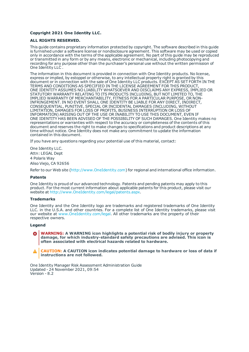#### **Copyright 2021 One Identity LLC.**

#### **ALL RIGHTS RESERVED.**

This guide contains proprietary information protected by copyright. The software described in this guide is furnished under a software license or nondisclosure agreement. This software may be used or copied only in accordance with the terms of the applicable agreement. No part of this guide may be reproduced or transmitted in any form or by any means, electronic or mechanical, including photocopying and recording for any purpose other than the purchaser's personal use without the written permission of One Identity LLC .

The information in this document is provided in connection with One Identity products. No license, express or implied, by estoppel or otherwise, to any intellectual property right is granted by this document or in connection with the sale of One Identity LLC products. EXCEPT AS SET FORTH IN THE TERMS AND CONDITIONS AS SPECIFIED IN THE LICENSE AGREEMENT FOR THIS PRODUCT, ONE IDENTITY ASSUMES NO LIABILITY WHATSOEVER AND DISCLAIMS ANY EXPRESS, IMPLIED OR STATUTORY WARRANTY RELATING TO ITS PRODUCTS INCLUDING, BUT NOT LIMITED TO, THE IMPLIED WARRANTY OF MERCHANTABILITY, FITNESS FOR A PARTICULAR PURPOSE, OR NON-INFRINGEMENT. IN NO EVENT SHALL ONE IDENTITY BE LIABLE FOR ANY DIRECT, INDIRECT, CONSEQUENTIAL, PUNITIVE, SPECIAL OR INCIDENTAL DAMAGES (INCLUDING, WITHOUT LIMITATION, DAMAGES FOR LOSS OF PROFITS, BUSINESS INTERRUPTION OR LOSS OF INFORMATION) ARISING OUT OF THE USE OR INABILITY TO USE THIS DOCUMENT, EVEN IF ONE IDENTITY HAS BEEN ADVISED OF THE POSSIBILITY OF SUCH DAMAGES. One Identity makes no representations or warranties with respect to the accuracy or completeness of the contents of this document and reserves the right to make changes to specifications and product descriptions at any time without notice. One Identity does not make any commitment to update the information contained in this document.

If you have any questions regarding your potential use of this material, contact:

One Identity LLC. Attn: LEGAL Dept 4 Polaris Way Aliso Viejo, CA 92656

Refer to our Web site ([http://www.OneIdentity.com](http://www.oneidentity.com/)) for regional and international office information.

#### **Patents**

One Identity is proud of our advanced technology. Patents and pending patents may apply to this product. For the most current information about applicable patents for this product, please visit our website at [http://www.OneIdentity.com/legal/patents.aspx](http://www.oneidentity.com/legal/patents.aspx).

#### **Trademarks**

One Identity and the One Identity logo are trademarks and registered trademarks of One Identity LLC. in the U.S.A. and other countries. For a complete list of One Identity trademarks, please visit our website at [www.OneIdentity.com/legal](http://www.oneidentity.com/legal). All other trademarks are the property of their respective owners.

#### **Legend**

**WARNING: A WARNING icon highlights a potential risk of bodily injury or property damage, for which industry-standard safety precautions are advised. This icon is often associated with electrical hazards related to hardware.**

**CAUTION: A CAUTION icon indicates potential damage to hardware or loss of data if** A **instructions are not followed.**

One Identity Manager Risk Assessment Administration Guide Updated - 24 November 2021, 09:54 Version - 8.2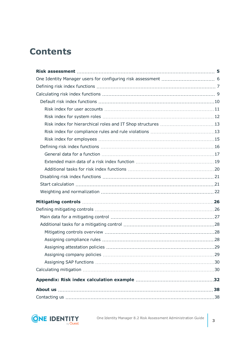# **Contents**

| 29 |
|----|
|    |
|    |
|    |
|    |

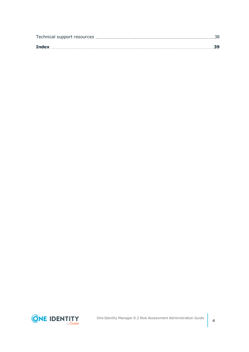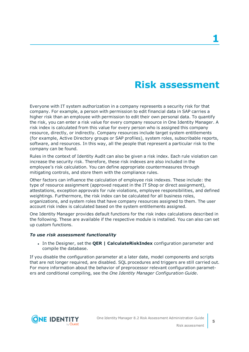# **Risk assessment**

<span id="page-4-0"></span>Everyone with IT system authorization in a company represents a security risk for that company. For example, a person with permission to edit financial data in SAP carries a higher risk than an employee with permission to edit their own personal data. To quantify the risk, you can enter a risk value for every company resource in One Identity Manager. A risk index is calculated from this value for every person who is assigned this company resource, directly, or indirectly. Company resources include target system entitlements (for example, Active Directory groups or SAP profiles), system roles, subscribable reports, software, and resources. In this way, all the people that represent a particular risk to the company can be found.

Rules in the context of Identity Audit can also be given a risk index. Each rule violation can increase the security risk. Therefore, these risk indexes are also included in the employee's risk calculation. You can define appropriate countermeasures through mitigating controls, and store them with the compliance rules.

Other factors can influence the calculation of employee risk indexes. These include: the type of resource assignment (approved request in the IT Shop or direct assignment), attestations, exception approvals for rule violations, employee responsibilities, and defined weightings. Furthermore, the risk index can be calculated for all business roles, organizations, and system roles that have company resources assigned to them. The user account risk index is calculated based on the system entitlements assigned.

One Identity Manager provides default functions for the risk index calculations described in the following. These are available if the respective module is installed. You can also can set up custom functions.

#### *To use risk assessment functionality*

<sup>l</sup> In the Designer, set the **QER | CalculateRiskIndex** configuration parameter and compile the database.

If you disable the configuration parameter at a later date, model components and scripts that are not longer required, are disabled. SQL procedures and triggers are still carried out. For more information about the behavior of preprocessor relevant configuration parameters and conditional compiling, see the *One Identity Manager Configuration Guide*.

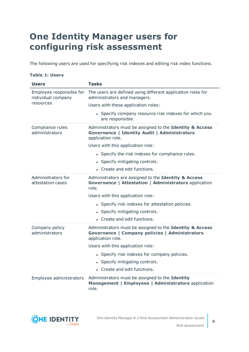# <span id="page-5-0"></span>**One Identity Manager users for configuring risk assessment**

The following users are used for specifying risk indexes and editing risk index functions.

#### **Table 1: Users**

| <b>Users</b>                                   | <b>Tasks</b>                                                                                                                         |  |  |  |  |
|------------------------------------------------|--------------------------------------------------------------------------------------------------------------------------------------|--|--|--|--|
| Employee responsible for<br>individual company | The users are defined using different application roles for<br>administrators and managers.                                          |  |  |  |  |
| resources                                      | Users with these application roles:                                                                                                  |  |  |  |  |
|                                                | • Specify company resource risk indexes for which you<br>are responsible.                                                            |  |  |  |  |
| Compliance rules<br>administrators             | Administrators must be assigned to the Identity & Access<br><b>Governance   Identity Audit   Administrators</b><br>application role. |  |  |  |  |
|                                                | Users with this application role:                                                                                                    |  |  |  |  |
|                                                | • Specify the risk indexes for compliance rules.                                                                                     |  |  |  |  |
|                                                | • Specify mitigating controls.                                                                                                       |  |  |  |  |
|                                                | • Create and edit functions.                                                                                                         |  |  |  |  |
| Administrators for<br>attestation cases        | Administrators are assigned to the Identity & Access<br><b>Governance   Attestation   Administrators application</b><br>role.        |  |  |  |  |
|                                                | Users with this application role:                                                                                                    |  |  |  |  |
|                                                | • Specify risk indexes for attestation policies.                                                                                     |  |  |  |  |
|                                                | • Specify mitigating controls.                                                                                                       |  |  |  |  |
|                                                | • Create and edit functions.                                                                                                         |  |  |  |  |
| Company policy<br>administrators               | Administrators must be assigned to the Identity & Access<br>Governance   Company policies   Administrators<br>application role.      |  |  |  |  |
|                                                | Users with this application role:                                                                                                    |  |  |  |  |
|                                                | • Specify risk indexes for company policies.                                                                                         |  |  |  |  |
|                                                | • Specify mitigating controls.                                                                                                       |  |  |  |  |
|                                                | • Create and edit functions.                                                                                                         |  |  |  |  |
| Employee administrators                        | Administrators must be assigned to the Identity<br>Management   Employees   Administrators application<br>role.                      |  |  |  |  |

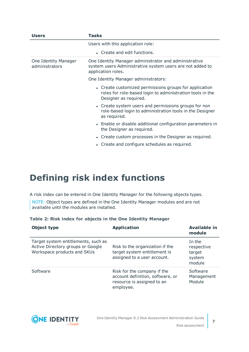| <b>Users</b>                           | <b>Tasks</b>                                                                                                                                 |  |  |  |
|----------------------------------------|----------------------------------------------------------------------------------------------------------------------------------------------|--|--|--|
|                                        | Users with this application role:                                                                                                            |  |  |  |
|                                        | • Create and edit functions.                                                                                                                 |  |  |  |
| One Identity Manager<br>administrators | One Identity Manager administrator and administrative<br>system users Administrative system users are not added to<br>application roles.     |  |  |  |
|                                        | One Identity Manager administrators:                                                                                                         |  |  |  |
|                                        | • Create customized permissions groups for application<br>roles for role-based login to administration tools in the<br>Designer as required. |  |  |  |
|                                        | • Create system users and permissions groups for non<br>role-based login to administration tools in the Designer<br>as required.             |  |  |  |
|                                        | • Enable or disable additional configuration parameters in<br>the Designer as required.                                                      |  |  |  |
|                                        | • Create custom processes in the Designer as required.                                                                                       |  |  |  |
|                                        | • Create and configure schedules as required.                                                                                                |  |  |  |

# <span id="page-6-0"></span>**Defining risk index functions**

A risk index can be entered in One Identity Manager for the following objects types.

NOTE: Object types are defined in the One Identity Manager modules and are not available until the modules are installed.

|  |  |  |  |  |  |  |  |  |  | Table 2: Risk index for objects in the One Identity Manager |
|--|--|--|--|--|--|--|--|--|--|-------------------------------------------------------------|
|--|--|--|--|--|--|--|--|--|--|-------------------------------------------------------------|

| Object type                                                                                             | <b>Application</b>                                                                                         | <b>Available in</b><br>module                      |
|---------------------------------------------------------------------------------------------------------|------------------------------------------------------------------------------------------------------------|----------------------------------------------------|
| Target system entitlements, such as<br>Active Directory groups or Google<br>Workspace products and SKUs | Risk to the organization if the<br>target system entitlement is<br>assigned to a user account.             | In the<br>respective<br>target<br>system<br>module |
| Software                                                                                                | Risk for the company if the<br>account definition, software, or<br>resource is assigned to an<br>employee. | Software<br>Management<br>Module                   |

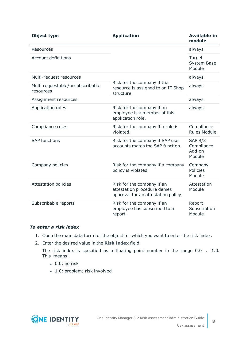| <b>Object type</b>                            | <b>Application</b>                                                                                | <b>Available in</b><br>module                         |
|-----------------------------------------------|---------------------------------------------------------------------------------------------------|-------------------------------------------------------|
| Resources                                     |                                                                                                   | always                                                |
| <b>Account definitions</b>                    |                                                                                                   | Target<br><b>System Base</b><br>Module                |
| Multi-request resources                       |                                                                                                   | always                                                |
| Multi requestable/unsubscribable<br>resources | Risk for the company if the<br>resource is assigned to an IT Shop<br>structure.                   | always                                                |
| Assignment resources                          |                                                                                                   | always                                                |
| Application roles                             | Risk for the company if an<br>employee is a member of this<br>application role.                   | always                                                |
| Compliance rules                              | Risk for the company if a rule is<br>violated.                                                    | Compliance<br><b>Rules Module</b>                     |
| <b>SAP functions</b>                          | Risk for the company if SAP user<br>accounts match the SAP function.                              | SAP <sub>R</sub> /3<br>Compliance<br>Add-on<br>Module |
| Company policies                              | Risk for the company if a company<br>policy is violated.                                          | Company<br>Policies<br>Module                         |
| <b>Attestation policies</b>                   | Risk for the company if an<br>attestation procedure denies<br>approval for an attestation policy. | Attestation<br>Module                                 |
| Subscribable reports                          | Risk for the company if an<br>employee has subscribed to a<br>report.                             | Report<br>Subscription<br>Module                      |

#### *To enter a risk index*

- 1. Open the main data form for the object for which you want to enter the risk index.
- 2. Enter the desired value in the **Risk index** field.

The risk index is specified as a floating point number in the range 0.0 ... 1.0. This means:

- $\cdot$  0.0: no risk
- 1.0: problem; risk involved

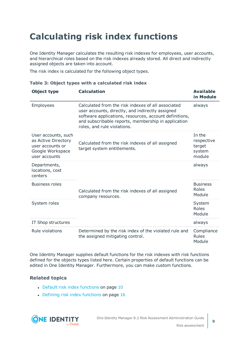# <span id="page-8-0"></span>**Calculating risk index functions**

One Identity Manager calculates the resulting risk indexes for employees, user accounts, and hierarchical roles based on the risk indexes already stored. All direct and indirectly assigned objects are taken into account.

The risk index is calculated for the following object types.

| Object type                                                                                         | <b>Calculation</b>                                                                                                                                                                                                                                     | <b>Available</b><br>in Module                      |
|-----------------------------------------------------------------------------------------------------|--------------------------------------------------------------------------------------------------------------------------------------------------------------------------------------------------------------------------------------------------------|----------------------------------------------------|
| Employees                                                                                           | Calculated from the risk indexes of all associated<br>user accounts, directly, and indirectly assigned<br>software applications, resources, account definitions,<br>and subscribable reports, membership in application<br>roles, and rule violations. | always                                             |
| User accounts, such<br>as Active Directory<br>user accounts or<br>Google Workspace<br>user accounts | Calculated from the risk indexes of all assigned<br>target system entitlements.                                                                                                                                                                        | In the<br>respective<br>target<br>system<br>module |
| Departments,<br>locations, cost<br>centers                                                          |                                                                                                                                                                                                                                                        | always                                             |
| <b>Business roles</b>                                                                               | Calculated from the risk indexes of all assigned<br>company resources.                                                                                                                                                                                 | <b>Business</b><br>Roles<br>Module                 |
| System roles                                                                                        |                                                                                                                                                                                                                                                        | System<br>Roles<br>Module                          |
| IT Shop structures                                                                                  |                                                                                                                                                                                                                                                        | always                                             |
| Rule violations                                                                                     | Determined by the risk index of the violated rule and<br>the assigned mitigating control.                                                                                                                                                              | Compliance<br><b>Rules</b><br>Module               |

One Identity Manager supplies default functions for the risk indexes with risk functions defined for the objects types listed here. Certain properties of default functions can be edited in One Identity Manager. Furthermore, you can make custom functions.

#### **Related topics**

- Default risk index [functions](#page-9-0) on page 10
- $\bullet$  Defining risk index [functions](#page-15-0) on page 16

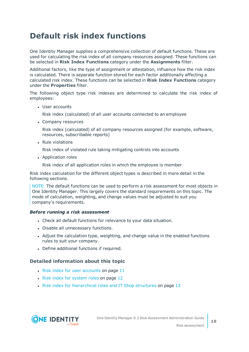## <span id="page-9-0"></span>**Default risk index functions**

One Identity Manager supplies a comprehensive collection of default functions. These are used for calculating the risk index of all company resources assigned. These functions can be selected in **Risk Index Functions** category under the **Assignments** filter.

Additional factors, like the type of assignment or attestation, influence how the risk index is calculated. There is separate function stored for each factor additionally affecting a calculated risk index. These functions can be selected in **Risk Index Functions** category under the **Properties** filter.

The following object type risk indexes are determined to calculate the risk index of employees:

• User accounts

Risk index (calculated) of all user accounts connected to an employee

• Company resources

Risk index (calculated) of all company resources assigned (for example, software, resources, subscribable reports)

<sup>l</sup> Rule violations

Risk index of violated rule taking mitigating controls into accounts

• Application roles

Risk index of all application roles in which the employee is member

Risk index calculation for the different object types is described in more detail in the following sections.

NOTE: The default functions can be used to perform a risk assessment for most objects in One Identity Manager. This largely covers the standard requirements on this topic. The mode of calculation, weighting, and change values must be adjusted to suit you company's requirements.

#### *Before running a risk assessment*

- Check all default functions for relevance to your data situation.
- Disable all unnecessary functions.
- Adjust the calculation type, weighting, and change value in the enabled functions rules to suit your company.
- Define additional functions if required.

#### **Detailed information about this topic**

- $\cdot$  Risk index for user [accounts](#page-10-0) on page 11
- Risk index for [system](#page-11-0) roles on page 12
- Risk index for [hierarchical](#page-12-0) roles and IT Shop structures on page 13

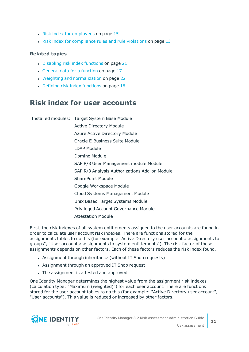- $\cdot$  Risk index for [employees](#page-14-0) on page 15
- Risk index for [compliance](#page-12-1) rules and rule violations on page 13

#### **Related topics**

- $\bullet$  [Disabling](#page-20-0) risk index functions on page 21
- General data for a [function](#page-16-0) on page 17
- Weighting and [normalization](#page-21-0) on page 22
- $\bullet$  Defining risk index [functions](#page-15-0) on page 16

### <span id="page-10-0"></span>**Risk index for user accounts**

Installed modules: Target System Base Module Active Directory Module Azure Active Directory Module Oracle E-Business Suite Module LDAP Module Domino Module SAP R/3 User Management module Module SAP R/3 Analysis Authorizations Add-on Module SharePoint Module Google Workspace Module Cloud Systems Management Module Unix Based Target Systems Module Privileged Account Governance Module Attestation Module

First, the risk indexes of all system entitlements assigned to the user accounts are found in order to calculate user account risk indexes. There are functions stored for the assignments tables to do this (for example "Active Directory user accounts: assignments to groups", "User accounts: assignments to system entitlements"). The risk factor of these assignments depends on other factors. Each of these factors reduces the risk index found.

- Assignment through inheritance (without IT Shop requests)
- Assignment through an approved IT Shop request
- The assignment is attested and approved

One Identity Manager determines the highest value from the assignment risk indexes (calculation type: "Maximum (weighted)") for each user account. There are functions stored for the user account tables to do this (for example: "Active Directory user account", "User accounts"). This value is reduced or increased by other factors.

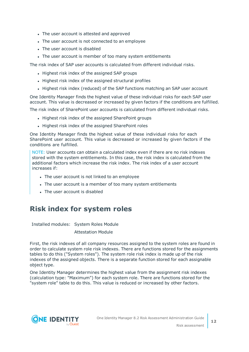- The user account is attested and approved
- The user account is not connected to an employee
- The user account is disabled
- The user account is member of too many system entitlements

The risk index of SAP user accounts is calculated from different individual risks.

- Highest risk index of the assigned SAP groups
- Highest risk index of the assigned structural profiles
- Highest risk index (reduced) of the SAP functions matching an SAP user account

One Identity Manager finds the highest value of these individual risks for each SAP user account. This value is decreased or increased by given factors if the conditions are fulfilled.

The risk index of SharePoint user accounts is calculated from different individual risks.

- Highest risk index of the assigned SharePoint groups
- Highest risk index of the assigned SharePoint roles

One Identity Manager finds the highest value of these individual risks for each SharePoint user account. This value is decreased or increased by given factors if the conditions are fulfilled.

NOTE: User accounts can obtain a calculated index even if there are no risk indexes stored with the system entitlements. In this case, the risk index is calculated from the additional factors which increase the risk index. The risk index of a user account increases if:

- The user account is not linked to an employee
- The user account is a member of too many system entitlements
- The user account is disabled

### <span id="page-11-0"></span>**Risk index for system roles**

Installed modules: System Roles Module

Attestation Module

First, the risk indexes of all company resources assigned to the system roles are found in order to calculate system role risk indexes. There are functions stored for the assignments tables to do this ("System roles"). The system role risk index is made up of the risk indexes of the assigned objects. There is a separate function stored for each assignable object type.

One Identity Manager determines the highest value from the assignment risk indexes (calculation type: "Maximum") for each system role. There are functions stored for the "system role" table to do this. This value is reduced or increased by other factors.

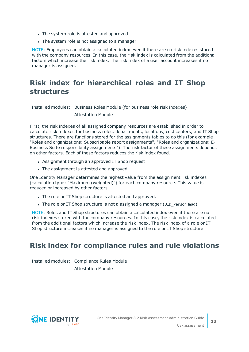- The system role is attested and approved
- The system role is not assigned to a manager

NOTE: Employees can obtain a calculated index even if there are no risk indexes stored with the company resources. In this case, the risk index is calculated from the additional factors which increase the risk index. The risk index of a user account increases if no manager is assigned.

## <span id="page-12-0"></span>**Risk index for hierarchical roles and IT Shop structures**

Installed modules: Business Roles Module (for business role risk indexes)

Attestation Module

First, the risk indexes of all assigned company resources are established in order to calculate risk indexes for business roles, departments, locations, cost centers, and IT Shop structures. There are functions stored for the assignments tables to do this (for example "Roles and organizations: Subscribable report assignments", "Roles and organizations: E-Business Suite responsibility assignments"). The risk factor of these assignments depends on other factors. Each of these factors reduces the risk index found.

- Assignment through an approved IT Shop request
- The assignment is attested and approved

One Identity Manager determines the highest value from the assignment risk indexes (calculation type: "Maximum (weighted)") for each company resource. This value is reduced or increased by other factors.

- The rule or IT Shop structure is attested and approved.
- The role or IT Shop structure is not a assigned a manager (UID PersonHead).

NOTE: Roles and IT Shop structures can obtain a calculated index even if there are no risk indexes stored with the company resources. In this case, the risk index is calculated from the additional factors which increase the risk index. The risk index of a role or IT Shop structure increases if no manager is assigned to the role or IT Shop structure.

## <span id="page-12-1"></span>**Risk index for compliance rules and rule violations**

Installed modules: Compliance Rules Module Attestation Module

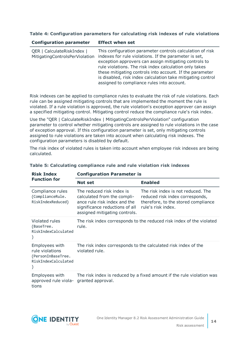#### **Table 4: Configuration parameters for calculating risk indexes of rule violations**

| <b>Configuration parameter</b>                               | <b>Effect when set</b>                                                                                                                                                                                                                                                                                                                                                                                         |
|--------------------------------------------------------------|----------------------------------------------------------------------------------------------------------------------------------------------------------------------------------------------------------------------------------------------------------------------------------------------------------------------------------------------------------------------------------------------------------------|
| QER   CalculateRiskIndex  <br>MitigatingControlsPerViolation | This configuration parameter controls calculation of risk<br>indexes for rule violations. If the parameter is set,<br>exception approvers can assign mitigating controls to<br>rule violations. The risk index calculation only takes<br>these mitigating controls into account. If the parameter<br>is disabled, risk index calculation take mitigating control<br>assigned to compliance rules into account. |

Risk indexes can be applied to compliance rules to evaluate the risk of rule violations. Each rule can be assigned mitigating controls that are implemented the moment the rule is violated. If a rule violation is approved, the rule violation's exception approver can assign a specified mitigating control. Mitigating control reduce the compliance rule's risk index.

Use the "QER | CalculateRiskIndex | MitigatingControlsPerViolation" configuration parameter to control whether mitigating controls are assigned to rule violations in the case of exception approval. If this configuration parameter is set, only mitigating controls assigned to rule violations are taken into account when calculating risk indexes. The configuration parameters is disabled by default.

The risk index of violated rules is taken into account when employee risk indexes are being calculated.

| <b>Risk Index</b>                                                              | <b>Configuration Parameter is</b>                                                                                                                           |                                                                                                                                    |  |  |  |
|--------------------------------------------------------------------------------|-------------------------------------------------------------------------------------------------------------------------------------------------------------|------------------------------------------------------------------------------------------------------------------------------------|--|--|--|
| <b>Function for</b>                                                            | <b>Not set</b>                                                                                                                                              | <b>Enabled</b>                                                                                                                     |  |  |  |
| Compliance rules<br>(ComplianceRule.<br>RiskIndexReduced)                      | The reduced risk index is<br>calculated from the compli-<br>ance rule risk index and the<br>significance reductions of all<br>assigned mitigating controls. | The risk index is not reduced. The<br>reduced risk index corresponds,<br>therefore, to the stored compliance<br>rule's risk index. |  |  |  |
| Violated rules<br>(BaseTree.<br>RiskIndexCalculated                            | rule.                                                                                                                                                       | The risk index corresponds to the reduced risk index of the violated                                                               |  |  |  |
| Employees with<br>rule violations<br>(PersonInBaseTree.<br>RiskIndexCalculated | violated rule.                                                                                                                                              | The risk index corresponds to the calculated risk index of the                                                                     |  |  |  |
| Employees with<br>approved rule viola-<br>tions                                | granted approval.                                                                                                                                           | The risk index is reduced by a fixed amount if the rule violation was                                                              |  |  |  |

#### **Table 5: Calculating compliance rule and rule violation risk indexes**

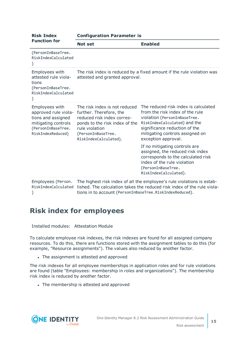| <b>Risk Index</b>                                                                                                              | <b>Configuration Parameter is</b>                                                                                                                                                         |                                                                                                                                                                                                                                    |  |  |  |
|--------------------------------------------------------------------------------------------------------------------------------|-------------------------------------------------------------------------------------------------------------------------------------------------------------------------------------------|------------------------------------------------------------------------------------------------------------------------------------------------------------------------------------------------------------------------------------|--|--|--|
| <b>Function for</b>                                                                                                            | <b>Not set</b>                                                                                                                                                                            | <b>Enabled</b>                                                                                                                                                                                                                     |  |  |  |
| (PersonInBaseTree.<br>RiskIndexCalculated                                                                                      |                                                                                                                                                                                           |                                                                                                                                                                                                                                    |  |  |  |
| Employees with<br>attested rule viola-<br>tions<br>(PersonInBaseTree.<br>RiskIndexCalculated                                   | attested and granted approval.                                                                                                                                                            | The risk index is reduced by a fixed amount if the rule violation was                                                                                                                                                              |  |  |  |
| Employees with<br>approved rule viola-<br>tions and assigned<br>mitigating controls<br>(PersonInBaseTree.<br>RiskIndexReduced) | The risk index is not reduced<br>further. Therefore, the<br>reduced risk index corres-<br>ponds to the risk index of the<br>rule violation<br>(PersonInBaseTree.<br>RiskIndexCalculated). | The reduced risk index is calculated<br>from the risk index of the rule<br>violation (PersonInBaseTree.<br>RiskIndexCalculated) and the<br>significance reduction of the<br>mitigating controls assigned on<br>exception approval. |  |  |  |
|                                                                                                                                |                                                                                                                                                                                           | If no mitigating controls are<br>assigned, the reduced risk index<br>corresponds to the calculated risk<br>index of the rule violation<br>(PersonInBaseTree.<br>RiskIndexCalculated).                                              |  |  |  |
| Employees (Person.                                                                                                             |                                                                                                                                                                                           | The highest risk index of all the employee's rule violations is estab-                                                                                                                                                             |  |  |  |

RiskIndexCalculated lished. The calculation takes the reduced risk index of the rule viola-) tions in to account (PersonInBaseTree.RiskIndexReduced).

### <span id="page-14-0"></span>**Risk index for employees**

Installed modules: Attestation Module

To calculate employee risk indexes, the risk indexes are found for all assigned company resources. To do this, there are functions stored with the assignment tables to do this (for example, "Resource assignments"). The values also reduced by another factor.

• The assignment is attested and approved

The risk indexes for all employee memberships in application roles and for rule violations are found (table "Employees: membership in roles and organizations"). The membership risk index is reduced by another factor.

• The membership is attested and approved

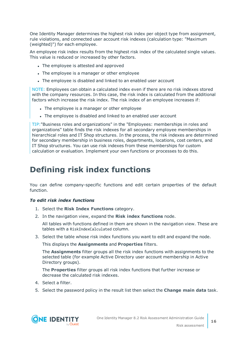One Identity Manager determines the highest risk index per object type from assignment, rule violations, and connected user account risk indexes (calculation type: "Maximum (weighted)") for each employee.

An employee risk index results from the highest risk index of the calculated single values. This value is reduced or increased by other factors.

- The employee is attested and approved
- The employee is a manager or other employee
- The employee is disabled and linked to an enabled user account

NOTE: Employees can obtain a calculated index even if there are no risk indexes stored with the company resources. In this case, the risk index is calculated from the additional factors which increase the risk index. The risk index of an employee increases if:

- The employee is a manager or other employee
- The employee is disabled and linked to an enabled user account

TIP:"Business roles and organizations" in the "Employees: memberships in roles and organizations" table finds the risk indexes for all secondary employee memberships in hierarchical roles and IT Shop structures. In the process, the risk indexes are determined for secondary membership in business roles, departments, locations, cost centers, and IT Shop structures. You can use risk indexes from these memberships for custom calculation or evaluation. Implement your own functions or processes to do this.

## <span id="page-15-0"></span>**Defining risk index functions**

You can define company-specific functions and edit certain properties of the default function.

#### *To edit risk index functions*

- 1. Select the **Risk Index Functions** category.
- 2. In the navigation view, expand the **Risk index functions** node.

All tables with functions defined in them are shown in the navigation view. These are tables with a RiskIndexCalculated column.

3. Select the table whose risk index functions you want to edit and expand the node.

This displays the **Assignments** and **Properties** filters.

The **Assignments** filter groups all the risk index functions with assignments to the selected table (for example Active Directory user account membership in Active Directory groups).

The **Properties** filter groups all risk index functions that further increase or decrease the calculated risk indexes.

- 4. Select a filter.
- 5. Select the password policy in the result list then select the **Change main data** task.

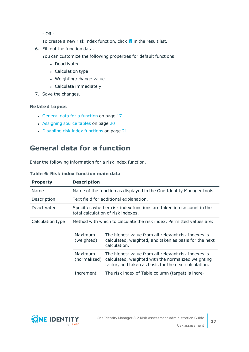- OR -

- To create a new risk index function, click  $\mathbf{t}$  in the result list.
- 6. Fill out the function data.
	- You can customize the following properties for default functions:
		- Deactivated
		- Calculation type
		- Weighting/change value
		- Calculate immediately
- 7. Save the changes.

#### **Related topics**

- General data for a [function](#page-16-0) on page 17
- [Assigning](#page-19-1) source tables on page 20
- [Disabling](#page-20-0) risk index functions on page 21

## <span id="page-16-0"></span>**General data for a function**

Enter the following information for a risk index function.

| <b>Property</b>  | <b>Description</b>      |                                                                                                                                                                                                      |
|------------------|-------------------------|------------------------------------------------------------------------------------------------------------------------------------------------------------------------------------------------------|
| Name             |                         | Name of the function as displayed in the One Identity Manager tools.                                                                                                                                 |
| Description      |                         | Text field for additional explanation.                                                                                                                                                               |
| Deactivated      |                         | Specifies whether risk index functions are taken into account in the<br>total calculation of risk indexes.                                                                                           |
| Calculation type | Maximum<br>(weighted)   | Method with which to calculate the risk index. Permitted values are:<br>The highest value from all relevant risk indexes is<br>calculated, weighted, and taken as basis for the next<br>calculation. |
|                  | Maximum<br>(normalized) | The highest value from all relevant risk indexes is<br>calculated, weighted with the normalized weighting<br>factor, and taken as basis for the next calculation.                                    |
|                  | Increment               | The risk index of Table column (target) is incre-                                                                                                                                                    |

#### **Table 6: Risk index function main data**

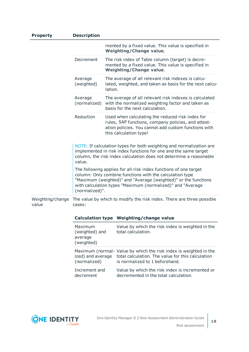| <b>Property</b>           | <b>Description</b>                      |                                                                                                                                                                                                                                                              |
|---------------------------|-----------------------------------------|--------------------------------------------------------------------------------------------------------------------------------------------------------------------------------------------------------------------------------------------------------------|
|                           |                                         | mented by a fixed value. This value is specified in<br><b>Weighting/Change value.</b>                                                                                                                                                                        |
|                           | Decrement                               | The risk index of Table column (target) is decre-<br>mented by a fixed value. This value is specified in<br><b>Weighting/Change value.</b>                                                                                                                   |
|                           | Average<br>(weighted)                   | The average of all relevant risk indexes is calcu-<br>lated, weighted, and taken as basis for the next calcu-<br>lation.                                                                                                                                     |
|                           | Average<br>(normalized)                 | The average of all relevant risk indexes is calculated<br>with the normalized weighting factor and taken as<br>basis for the next calculation.                                                                                                               |
|                           | Reduction                               | Used when calculating the reduced risk index for<br>rules, SAP functions, company policies, and attest-<br>ation policies. You cannot add custom functions with<br>this calculation type!                                                                    |
|                           | value.                                  | NOTE: If calculation types for both weighting and normalization are<br>implemented in risk index functions for one and the same target<br>column, the risk index calculation does not determine a reasonable                                                 |
|                           | (normalized)".                          | The following applies for all risk index functions of one target<br>column: Only combine functions with the calculation type<br>"Maximum (weighted)" and "Average (weighted)" or the functions<br>with calculation types "Maximum (normalized)" and "Average |
| Weighting/change<br>value | cases:                                  | The value by which to modify the risk index. There are three possible                                                                                                                                                                                        |
|                           |                                         | Calculation type Weighting/change value                                                                                                                                                                                                                      |
|                           | Maximum                                 | Value by which the risk index is weighted in the                                                                                                                                                                                                             |
|                           | (weighted) and<br>average<br>(weighted) | total calculation.                                                                                                                                                                                                                                           |

| (normalized)  | Maximum (normal- Value by which the risk index is weighted in the<br>ized) and average total calculation. The value for this calculation<br>is normalized to 1 beforehand. |
|---------------|----------------------------------------------------------------------------------------------------------------------------------------------------------------------------|
| Increment and | Value by which the risk index is incremented or                                                                                                                            |
| decrement     | decremented in the total calculation.                                                                                                                                      |

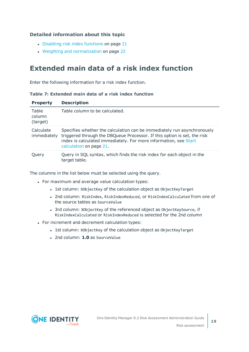#### **Detailed information about this topic**

- [Disabling](#page-20-0) risk index functions on page 21
- Weighting and [normalization](#page-21-0) on page 22

### <span id="page-18-0"></span>**Extended main data of a risk index function**

Enter the following information for a risk index function.

|  | Table 7: Extended main data of a risk index function |  |  |  |  |
|--|------------------------------------------------------|--|--|--|--|
|  |                                                      |  |  |  |  |

| <b>Property</b>             | <b>Description</b>                                                                                                                                                                                                                                 |
|-----------------------------|----------------------------------------------------------------------------------------------------------------------------------------------------------------------------------------------------------------------------------------------------|
| Table<br>column<br>(target) | Table column to be calculated.                                                                                                                                                                                                                     |
| Calculate<br>immediately    | Specifies whether the calculation can be immediately run asynchronously<br>triggered through the DBQueue Processor. If this option is set, the risk<br>index is calculated immediately. For more information, see Start<br>calculation on page 21. |
| Query                       | Query in SQL syntax, which finds the risk index for each object in the<br>target table.                                                                                                                                                            |

The columns in the list below must be selected using the query.

- For maximum and average value calculation types:
	- 1st column: XObjectKey of the calculation object as ObjectKeyTarget
	- 2nd column: RiskIndex, RiskIndexReduced, or RiskIndexCalculated from one of the source tables as SourceValue
	- 3rd column: XObjectKey of the referenced object as ObjectKeySource, if RiskIndexCalculated or RiskIndexReduced is selected for the 2nd column
- For increment and decrement calculation types:
	- 1st column: XObjectKey of the calculation object as ObjectKeyTarget
	- <sup>l</sup> 2nd column: **1.0** as SourceValue

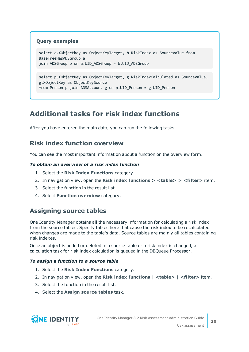#### **Query examples**

```
select a.XObjectkey as ObjectKeyTarget, b.RiskIndex as SourceValue from
BaseTreeHasADSGroup a
join ADSGroup b on a.UID ADSGroup = b.UID ADSGroup
```
select p.XObjectKey as ObjectKeyTarget, g.RiskIndexCalculated as SourceValue, g.XObjectKey as ObjectKeySource from Person p join ADSAccount g on p.UID Person = g.UID Person

### <span id="page-19-0"></span>**Additional tasks for risk index functions**

<span id="page-19-2"></span>After you have entered the main data, you can run the following tasks.

### **Risk index function overview**

You can see the most important information about a function on the overview form.

#### *To obtain an overview of a risk index function*

- 1. Select the **Risk Index Functions** category.
- 2. In navigation view, open the **Risk index functions > <table> > <filter>** item.
- 3. Select the function in the result list.
- <span id="page-19-1"></span>4. Select **Function overview** category.

### **Assigning source tables**

One Identity Manager obtains all the necessary information for calculating a risk index from the source tables. Specify tables here that cause the risk index to be recalculated when changes are made to the table's data. Source tables are mainly all tables containing risk indexes.

Once an object is added or deleted in a source table or a risk index is changed, a calculation task for risk index calculation is queued in the DBQueue Processor.

#### *To assign a function to a source table*

- 1. Select the **Risk Index Functions** category.
- 2. In navigation view, open the **Risk index functions | <table> | <filter>** item.
- 3. Select the function in the result list.
- 4. Select the **Assign source tables** task.

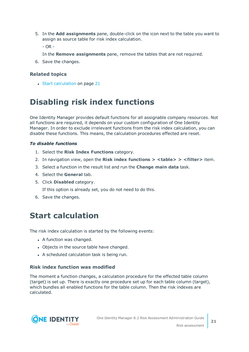5. In the **Add assignments** pane, double-click on the icon next to the table you want to assign as source table for risk index calculation.

- OR -

In the **Remove assignments** pane, remove the tables that are not required.

6. Save the changes.

#### **Related topics**

• Start [calculation](#page-20-1) on page 21

## <span id="page-20-0"></span>**Disabling risk index functions**

One Identity Manager provides default functions for all assignable company resources. Not all functions are required, it depends on your custom configuration of One Identity Manager. In order to exclude irrelevant functions from the risk index calculation, you can disable these functions. This means, the calculation procedures effected are reset.

#### *To disable functions*

- 1. Select the **Risk Index Functions** category.
- 2. In navigation view, open the **Risk index functions > <table> > <filter>** item.
- 3. Select a function in the result list and run the **Change main data** task.
- 4. Select the **General** tab.
- 5. Click **Disabled** category.

If this option is already set, you do not need to do this.

<span id="page-20-1"></span>6. Save the changes.

## **Start calculation**

The risk index calculation is started by the following events:

- A function was changed.
- Objects in the source table have changed.
- A scheduled calculation task is being run.

#### <span id="page-20-2"></span>**Risk index function was modified**

The moment a function changes, a calculation procedure for the effected table column (target) is set up. There is exactly one procedure set up for each table column (target), which bundles all enabled functions for the table column. Then the risk indexes are calculated.

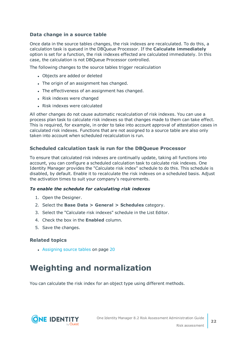#### <span id="page-21-1"></span>**Data change in a source table**

Once data in the source tables changes, the risk indexes are recalculated. To do this, a calculation task is queued in the DBQueue Processor. If the **Calculate immediately** option is set for a function, the risk indexes effected are calculated immediately. In this case, the calculation is not DBQueue Processor controlled.

The following changes to the source tables trigger recalculation

- Objects are added or deleted
- The origin of an assignment has changed.
- The effectiveness of an assignment has changed.
- Risk indexes were changed
- $\bullet$  Risk indexes were calculated

All other changes do not cause automatic recalculation of risk indexes. You can use a process plan task to calculate risk indexes so that changes made to them can take effect. This is required, for example, in order to take into account approval of attestation cases in calculated risk indexes. Functions that are not assigned to a source table are also only taken into account when scheduled recalculation is run.

#### <span id="page-21-2"></span>**Scheduled calculation task is run for the DBQueue Processor**

To ensure that calculated risk indexes are continually update, taking all functions into account, you can configure a scheduled calculation task to calculate risk indexes. One Identity Manager provides the "Calculate risk index" schedule to do this. This schedule is disabled, by default. Enable it to recalculate the risk indexes on a scheduled basis. Adjust the activation times to suit your company's requirements.

#### *To enable the schedule for calculating risk indexes*

- 1. Open the Designer.
- 2. Select the **Base Data > General > Schedules** category.
- 3. Select the "Calculate risk indexes" schedule in the List Editor.
- 4. Check the box in the **Enabled** column.
- 5. Save the changes.

#### **Related topics**

• [Assigning](#page-19-1) source tables on page 20

## <span id="page-21-0"></span>**Weighting and normalization**

You can calculate the risk index for an object type using different methods.

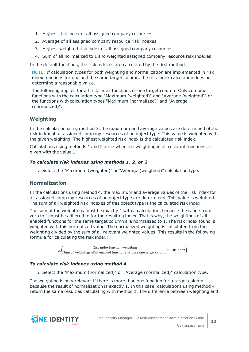- 1. Highest risk index of all assigned company resources
- 2. Average of all assigned company resource risk indexes
- 3. Highest weighted risk index of all assigned company resources
- 4. Sum of all normalized to 1 and weighted assigned company resource risk indexes

In the default functions, the risk indexes are calculated by the first method.

NOTE: If calculation types for both weighting and normalization are implemented in risk index functions for one and the same target column, the risk index calculation does not determine a reasonable value.

The following applies for all risk index functions of one target column: Only combine functions with the calculation type "Maximum (weighted)" and "Average (weighted)" or the functions with calculation types "Maximum (normalized)" and "Average (normalized)".

#### **Weighting**

In the calculation using method 3, the maximum and average values are determined of the risk index of all assigned company resources of an object type. This value is weighted with the given weighting. The highest weighted risk index is the calculated risk index.

Calculations using methods 1 and 2 arise when the weighting in all relevant functions, is given with the value 1.

#### *To calculate risk indexes using methods 1, 2, or 3*

• Select the "Maximum (weighted)" or "Average (weighted)" calculation type.

#### **Normalization**

In the calculations using method 4, the maximum and average values of the risk index for all assigned company resources of an object type are determined. This value is weighted. The sum of all weighted risk indexes of this object type is the calculated risk index.

The sum of the weightings must be exactly 1 with a calculation, because the range from zero to 1 must be adhered to for the resulting index. That is why, the weightings of all enabled functions for the same target column are normalized to 1. The risk index found is weighted with this normalized value. The normalized weighting is calculated from the weighting divided by the sum of all relevant weighted values. This results in the following formula for calculating the risk index:

 $\Sigma\biggl(\frac{\text{Risk index function weighting}}{\text{Sum of weightings of all enabled functions for the same target column} * \text{Risk index}\biggr)$ 

#### *To calculate risk indexes using method 4*

<sup>l</sup> Select the "Maximum (normalized)" or "Average (normalized)" calculation type.

The weighting is only relevant if there is more than one function for a target column because the result of normalization is exactly 1. In this case, calculations using method 4 return the same result as calculating with method 1. The difference between weighting and

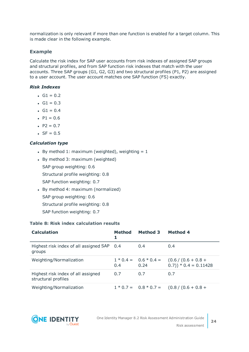normalization is only relevant if more than one function is enabled for a target column. This is made clear in the following example.

#### **Example**

Calculate the risk index for SAP user accounts from risk indexes of assigned SAP groups and structural profiles, and from SAP function risk indexes that match with the user accounts. Three SAP groups (G1, G2, G3) and two structural profiles (P1, P2) are assigned to a user account. The user account matches one SAP function (FS) exactly.

#### *Risk Indexes*

- $\cdot$  G1 = 0.2
- $\cdot$  G1 = 0.3
- $\cdot$  G1 = 0.4
- $P1 = 0.6$
- $P2 = 0.7$
- $\cdot$  SF = 0.5

#### *Calculation type*

- By method 1: maximum (weighted), weighting  $= 1$
- $\bullet$  By method 3: maximum (weighted)
	- SAP group weighting: 0.6

Structural profile weighting: 0.8

- SAP function weighting: 0.7
- By method 4: maximum (normalized)

SAP group weighting: 0.6

- Structural profile weighting: 0.8
- SAP function weighting: 0.7

#### **Table 8: Risk index calculation results**

| <b>Calculation</b>                                        | <b>Method</b><br>1 | <b>Method 3</b>                 | <b>Method 4</b>                                  |
|-----------------------------------------------------------|--------------------|---------------------------------|--------------------------------------------------|
| Highest risk index of all assigned SAP 0.4<br>groups      |                    | 0.4                             | 0.4                                              |
| Weighting/Normalization                                   | 0.4                | $1 * 0.4 = 0.6 * 0.4 =$<br>0.24 | $(0.6 / (0.6 + 0.8 +$<br>$(0.7)$ * 0.4 = 0.11428 |
| Highest risk index of all assigned<br>structural profiles | 0.7                | 0.7                             | 0.7                                              |
| Weighting/Normalization                                   |                    |                                 | $1 * 0.7 = 0.8 * 0.7 = (0.8 / (0.6 + 0.8 +$      |

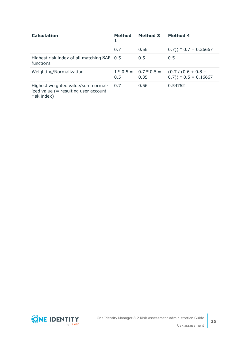| <b>Calculation</b>                                                                           | <b>Method</b><br>1 | <b>Method 3</b>                 | <b>Method 4</b>                                    |
|----------------------------------------------------------------------------------------------|--------------------|---------------------------------|----------------------------------------------------|
|                                                                                              | 0.7                | 0.56                            | $(0.7)$ * 0.7 = 0.26667                            |
| Highest risk index of all matching SAP 0.5<br>functions                                      |                    | 0.5                             | 0.5                                                |
| Weighting/Normalization                                                                      | 0.5                | $1 * 0.5 = 0.7 * 0.5 =$<br>0.35 | $(0.7 / (0.6 + 0.8 +$<br>$(0.7)$ * $0.5 = 0.16667$ |
| Highest weighted value/sum normal-<br>ized value $($ = resulting user account<br>risk index) | 0.7                | 0.56                            | 0.54762                                            |

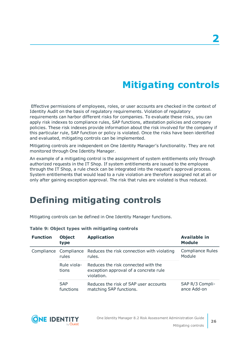# **Mitigating controls**

<span id="page-25-0"></span>Effective permissions of employees, roles, or user accounts are checked in the context of Identity Audit on the basis of regulatory requirements. Violation of regulatory requirements can harbor different risks for companies. To evaluate these risks, you can apply risk indexes to compliance rules, SAP functions, attestation policies and company policies. These risk indexes provide information about the risk involved for the company if this particular rule, SAP function or policy is violated. Once the risks have been identified and evaluated, mitigating controls can be implemented.

Mitigating controls are independent on One Identity Manager's functionality. They are not monitored through One Identity Manager.

An example of a mitigating control is the assignment of system entitlements only through authorized requests in the IT Shop. If system entitlements are issued to the employee through the IT Shop, a rule check can be integrated into the request's approval process. System entitlements that would lead to a rule violation are therefore assigned not at all or only after gaining exception approval. The risk that rules are violated is thus reduced.

# <span id="page-25-1"></span>**Defining mitigating controls**

Mitigating controls can be defined in One Identity Manager functions.

| <b>Function</b> | <b>Object</b><br>type   | <b>Application</b>                                                                         | <b>Available in</b><br><b>Module</b> |
|-----------------|-------------------------|--------------------------------------------------------------------------------------------|--------------------------------------|
|                 | rules                   | Compliance Compliance Reduces the risk connection with violating<br>rules.                 | <b>Compliance Rules</b><br>Module    |
|                 | Rule viola-<br>tions    | Reduces the risk connected with the<br>exception approval of a concrete rule<br>violation. |                                      |
|                 | <b>SAP</b><br>functions | Reduces the risk of SAP user accounts<br>matching SAP functions.                           | SAP R/3 Compli-<br>ance Add-on       |

#### **Table 9: Object types with mitigating controls**

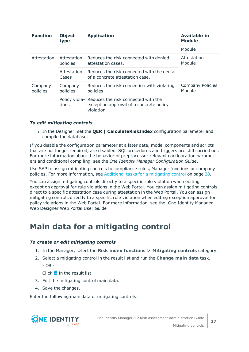| <b>Function</b>     | <b>Object</b><br>type   | <b>Application</b>                                                                                        | <b>Available in</b><br><b>Module</b> |
|---------------------|-------------------------|-----------------------------------------------------------------------------------------------------------|--------------------------------------|
|                     |                         |                                                                                                           | Module                               |
| Attestation         | Attestation<br>policies | Reduces the risk connected with denied<br>attestation cases.                                              | Attestation<br>Module                |
|                     | Attestation<br>Cases    | Reduces the risk connected with the denial<br>of a concrete attestation case.                             |                                      |
| Company<br>policies | Company<br>policies     | Reduces the risk connection with violating<br>policies.                                                   | <b>Company Policies</b><br>Module    |
|                     | tions                   | Policy viola-Reduces the risk connected with the<br>exception approval of a concrete policy<br>violation. |                                      |

#### *To edit mitigating controls*

<sup>l</sup> In the Designer, set the **QER | CalculateRiskIndex** configuration parameter and compile the database.

If you disable the configuration parameter at a later date, model components and scripts that are not longer required, are disabled. SQL procedures and triggers are still carried out. For more information about the behavior of preprocessor relevant configuration parameters and conditional compiling, see the *One Identity Manager Configuration Guide*.

Use SAP to assign mitigating controls to compliance rules, Manager functions or company policies. For more [information,](#page-27-0) see Additional tasks for a mitigating control on page 28.

You can assign mitigating controls directly to a specific rule violation when editing exception approval for rule violations in the Web Portal. You can assign mitigating controls direct to a specific attestation case during attestation in the Web Portal. You can assign mitigating controls directly to a specific rule violation when editing exception approval for policy violations in the Web Portal. For more information, see the .One Identity Manager Web Designer Web Portal User Guide

## <span id="page-26-0"></span>**Main data for a mitigating control**

#### *To create or edit mitigating controls*

- 1. In the Manager, select the **Risk index functions > Mitigating controls** category.
- 2. Select a mitigating control in the result list and run the **Change main data** task.
	- $OR -$

 $Click$   $\frac{1}{4}$  in the result list.

- 3. Edit the mitigating control main data.
- 4. Save the changes.

Enter the following main data of mitigating controls.

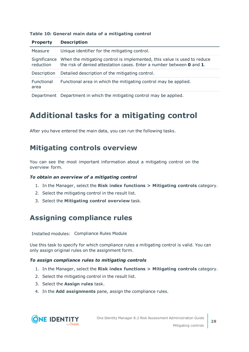| <b>Property</b>           | <b>Description</b>                                                                                                                                               |
|---------------------------|------------------------------------------------------------------------------------------------------------------------------------------------------------------|
| Measure                   | Unique identifier for the mitigating control.                                                                                                                    |
| Significance<br>reduction | When the mitigating control is implemented, this value is used to reduce<br>the risk of denied attestation cases. Enter a number between <b>0</b> and <b>1</b> . |
| Description               | Detailed description of the mitigating control.                                                                                                                  |
| Functional<br>area        | Functional area in which the mitigating control may be applied.                                                                                                  |
|                           | Department Department in which the mitigating control may be applied.                                                                                            |

#### **Table 10: General main data of a mitigating control**

## <span id="page-27-0"></span>**Additional tasks for a mitigating control**

<span id="page-27-1"></span>After you have entered the main data, you can run the following tasks.

### **Mitigating controls overview**

You can see the most important information about a mitigating control on the overview form.

#### *To obtain an overview of a mitigating control*

- 1. In the Manager, select the **Risk index functions > Mitigating controls** category.
- 2. Select the mitigating control in the result list.
- <span id="page-27-2"></span>3. Select the **Mitigating control overview** task.

## **Assigning compliance rules**

Installed modules: Compliance Rules Module

Use this task to specify for which compliance rules a mitigating control is valid. You can only assign original rules on the assignment form.

#### *To assign compliance rules to mitigating controls*

- 1. In the Manager, select the **Risk index functions > Mitigating controls** category.
- 2. Select the mitigating control in the result list.
- 3. Select the **Assign rules** task.
- 4. In the **Add assignments** pane, assign the compliance rules.



**28**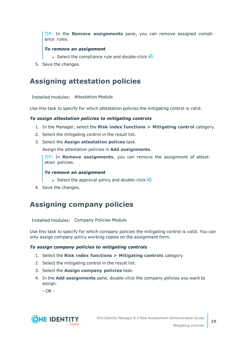TIP: In the **Remove assignments** pane, you can remove assigned compliance rules.

#### *To remove an assignment*

- Select the compliance rule and double-click  $\odot$ .
- <span id="page-28-0"></span>5. Save the changes.

### **Assigning attestation policies**

Installed modules: Attestation Module

Use this task to specify for which attestation policies the mitigating control is valid.

#### *To assign attestation policies to mitigating controls*

- 1. In the Manager, select the **Risk index functions > Mitigating control** category.
- 2. Select the mitigating control in the result list.
- 3. Select the **Assign attestation polices** task.

Assign the attestation policies in **Add assignments**.

TIP: In **Remove assignments**, you can remove the assignment of attestation policies.

#### *To remove an assignment*

- **Select the approval policy and double-click**  $\mathcal{O}$ **.**
- <span id="page-28-1"></span>4. Save the changes.

### **Assigning company policies**

Installed modules: Company Policies Module

Use this task to specify for which company policies the mitigating control is valid. You can only assign company policy working copies on the assignment form.

#### *To assign company policies to mitigating controls*

- 1. Select the **Risk index functions > Mitigating controls** category.
- 2. Select the mitigating control in the result list.
- 3. Select the **Assign company policies** task.
- 4. In the **Add assignments** pane, double-click the company policies you want to assign.
	- OR -

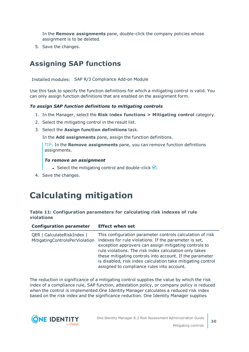In the **Remove assignments** pane, double-click the company policies whose assignment is to be deleted.

<span id="page-29-0"></span>5. Save the changes.

## **Assigning SAP functions**

Installed modules: SAP R/3 Compliance Add-on Module

Use this task to specify the function definitions for which a mitigating control is valid. You can only assign function definitions that are enabled on the assignment form.

#### *To assign SAP function definitions to mitigating controls*

- 1. In the Manager, select the **Risk index functions > Mitigating control** category.
- 2. Select the mitigating control in the result list.
- 3. Select the **Assign function definitions** task.

In the **Add assignments** pane, assign the function definitions.

TIP: In the **Remove assignments** pane, you can remove function definitions assignments.

#### *To remove an assignment*

- **Select the mitigating control and double-click**  $\bigcirc$ **.**
- <span id="page-29-1"></span>4. Save the changes.

# **Calculating mitigation**

#### **Table 11: Configuration parameters for calculating risk indexes of rule violations**

#### **Configuration parameter Effect when set**

| QER   CalculateRiskIndex  <br>MitigatingControlsPerViolation | This configuration parameter controls calculation of risk<br>indexes for rule violations. If the parameter is set,<br>exception approvers can assign mitigating controls to<br>rule violations. The risk index calculation only takes<br>these mitigating controls into account. If the parameter<br>is disabled, risk index calculation take mitigating control<br>assigned to compliance rules into account. |
|--------------------------------------------------------------|----------------------------------------------------------------------------------------------------------------------------------------------------------------------------------------------------------------------------------------------------------------------------------------------------------------------------------------------------------------------------------------------------------------|
|--------------------------------------------------------------|----------------------------------------------------------------------------------------------------------------------------------------------------------------------------------------------------------------------------------------------------------------------------------------------------------------------------------------------------------------------------------------------------------------|

The reduction in significance of a mitigating control supplies the value by which the risk index of a compliance rule, SAP function, attestation policy, or company policy is reduced when the control is implemented.One Identity Manager calculates a reduced risk index based on the risk index and the significance reduction. One Identity Manager supplies

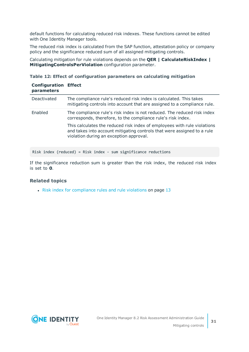default functions for calculating reduced risk indexes. These functions cannot be edited with One Identity Manager tools.

The reduced risk index is calculated from the SAP function, attestation policy or company policy and the significance reduced sum of all assigned mitigating controls.

Calculating mitigation for rule violations depends on the **QER | CalculateRiskIndex | MitigatingControlsPerViolation** configuration parameter.

**Table 12: Effect of configuration parameters on calculating mitigation**

| <b>Configuration Effect</b><br>parameters |                                                                                                                                                                                                |
|-------------------------------------------|------------------------------------------------------------------------------------------------------------------------------------------------------------------------------------------------|
| Deactivated                               | The compliance rule's reduced risk index is calculated. This takes<br>mitigating controls into account that are assigned to a compliance rule.                                                 |
| Enabled                                   | The compliance rule's risk index is not reduced. The reduced risk index<br>corresponds, therefore, to the compliance rule's risk index.                                                        |
|                                           | This calculates the reduced risk index of employees with rule violations<br>and takes into account mitigating controls that were assigned to a rule<br>violation during an exception approval. |

Risk index (reduced) = Risk index - sum significance reductions

If the significance reduction sum is greater than the risk index, the reduced risk index is set to **0**.

#### **Related topics**

• Risk index for [compliance](#page-12-1) rules and rule violations on page 13

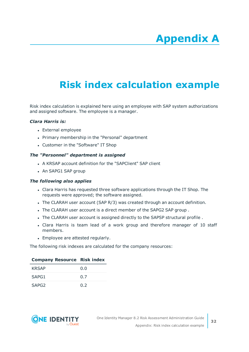# **Appendix A**

# <span id="page-31-0"></span>**Appendix:Risk index calculation example**

Risk index calculation is explained here using an employee with SAP system authorizations and assigned software. The employee is a manager.

#### *Clara Harris is:*

- External employee
- Primary membership in the "Personal" department
- Customer in the "Software" IT Shop

#### *The "Personnel" department is assigned*

- A KRSAP account definition for the "SAPClient" SAP client
- An SAPG1 SAP group

#### *The following also applies*

- Clara Harris has requested three software applications through the IT Shop. The requests were approved; the software assigned.
- The CLARAH user account (SAP R/3) was created through an account definition.
- . The CLARAH user account is a direct member of the SAPG2 SAP group.
- The CLARAH user account is assigned directly to the SAPSP structural profile.
- Clara Harris is team lead of a work group and therefore manager of 10 staff members.
- Employee are attested regularly.

The following risk indexes are calculated for the company resources:

| <b>KRSAP</b><br>0.0<br>SAPG1<br>0.7<br>SAPG <sub>2</sub><br>0.2 | Company Resource Risk much |  |
|-----------------------------------------------------------------|----------------------------|--|
|                                                                 |                            |  |
|                                                                 |                            |  |
|                                                                 |                            |  |



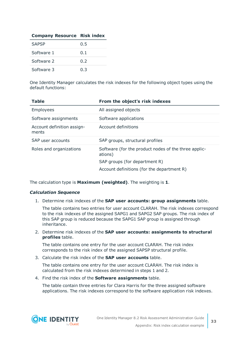| <b>Company Resource Risk index</b> |     |
|------------------------------------|-----|
| <b>SAPSP</b>                       | 0.5 |
| Software 1                         | 0.1 |
| Software 2                         | 0.2 |
| Software 3                         | 0.3 |

One Identity Manager calculates the risk indexes for the following object types using the default functions:

| <b>Table</b>                        | From the object's risk indexes                                  |
|-------------------------------------|-----------------------------------------------------------------|
| Employees                           | All assigned objects                                            |
| Software assignments                | Software applications                                           |
| Account definition assign-<br>ments | Account definitions                                             |
| SAP user accounts                   | SAP groups, structural profiles                                 |
| Roles and organizations             | Software (for the product nodes of the three applic-<br>ations) |
|                                     | SAP groups (for department R)                                   |
|                                     | Account definitions (for the department R)                      |

The calculation type is **Maximum (weighted)**. The weighting is **1**.

#### *Calculation Sequence*

1. Determine risk indexes of the **SAP user accounts: group assignments** table.

The table contains two entries for user account CLARAH. The risk indexes correspond to the risk indexes of the assigned SAPG1 and SAPG2 SAP groups. The risk index of this SAP group is reduced because the SAPG1 SAP group is assigned through inheritance.

2. Determine risk indexes of the **SAP user accounts: assignments to structural profiles** table.

The table contains one entry for the user account CLARAH. The risk index corresponds to the risk index of the assigned SAPSP structural profile.

3. Calculate the risk index of the **SAP user accounts** table.

The table contains one entry for the user account CLARAH. The risk index is calculated from the risk indexes determined in steps 1 and 2.

4. Find the risk index of the **Software assignments** table.

The table contain three entries for Clara Harris for the three assigned software applications. The risk indexes correspond to the software application risk indexes.

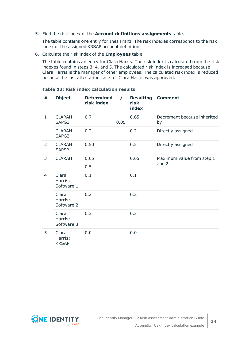5. Find the risk index of the **Account definitions assignments** table.

The table contains one entry for Ines Franz. The risk indexes corresponds to the risk index of the assigned KRSAP account definition.

6. Calculate the risk index of the **Employees** table.

The table contains an entry for Clara Harris. The risk index is calculated from the risk indexes found in steps 3, 4, and 5. The calculated risk index is increased because Clara Harris is the manager of other employees. The calculated risk index is reduced because the last attestation case for Clara Harris was approved.

| # | <b>Object</b>                       | Determined $+/-$<br>risk index |      | <b>Resulting</b><br>risk<br>index | <b>Comment</b>                     |
|---|-------------------------------------|--------------------------------|------|-----------------------------------|------------------------------------|
| 1 | <b>CLARAH:</b><br>SAPG1             | 0,7                            | 0.05 | 0.65                              | Decrement because inherited<br>by  |
|   | <b>CLARAH:</b><br>SAPG <sub>2</sub> | 0.2                            |      | 0.2                               | Directly assigned                  |
| 2 | <b>CLARAH:</b><br><b>SAPSP</b>      | 0.50                           |      | 0.5                               | Directly assigned                  |
| 3 | <b>CLARAH</b>                       | 0.65                           |      | 0.65                              | Maximum value from step 1<br>and 2 |
|   |                                     | 0.5                            |      |                                   |                                    |
| 4 | Clara<br>Harris:<br>Software 1      | 0.1                            |      | 0,1                               |                                    |
|   | Clara<br>Harris:<br>Software 2      | 0,2                            |      | 0.2                               |                                    |
|   | Clara<br>Harris:<br>Software 3      | 0.3                            |      | 0,3                               |                                    |
| 5 | Clara<br>Harris:<br><b>KRSAP</b>    | 0, 0                           |      | 0,0                               |                                    |

#### **Table 13: Risk index calculation results**

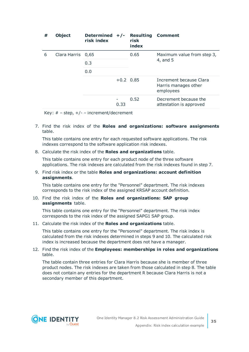| # | <b>Object</b>     | Determined $+/-$<br>risk index |             | <b>Resulting</b><br>risk<br>index | <b>Comment</b>                                               |
|---|-------------------|--------------------------------|-------------|-----------------------------------|--------------------------------------------------------------|
| 6 | Clara Harris 0,65 |                                |             | 0.65                              | Maximum value from step 3,<br>4, and 5                       |
|   |                   | 0.3                            |             |                                   |                                                              |
|   |                   | 0.0                            |             |                                   |                                                              |
|   |                   |                                | $+0.2$ 0.85 |                                   | Increment because Clara<br>Harris manages other<br>employees |
|   |                   |                                | 0.33        | 0.52                              | Decrement because the<br>attestation is approved             |

Key:  $# -$  step,  $+/- -$  increment/decrement

7. Find the risk index of the **Roles and organizations: software assignments** table.

This table contains one entry for each requested software applications. The risk indexes correspond to the software application risk indexes.

8. Calculate the risk index of the **Roles and organizations** table.

This table contains one entry for each product node of the three software applications. The risk indexes are calculated from the risk indexes found in step 7.

9. Find risk index or the table **Roles and organizations: account definition assignments**.

This table contains one entry for the "Personnel" department. The risk indexes corresponds to the risk index of the assigned KRSAP account definition.

#### 10. Find the risk index of the **Roles and organizations: SAP group assignments** table.

This table contains one entry for the "Personnel" department. The risk index corresponds to the risk index of the assigned SAPG1 SAP group.

#### 11. Calculate the risk index of the **Roles and organizations** table.

This table contains one entry for the "Personnel" department. The risk index is calculated from the risk indexes determined in steps 9 and 10. The calculated risk index is increased because the department does not have a manager.

12. Find the risk index of the **Employees: memberships in roles and organizations** table.

The table contain three entries for Clara Harris because she is member of three product nodes. The risk indexes are taken from those calculated in step 8. The table does not contain any entries for the department R because Clara Harris is not a secondary member of this department.

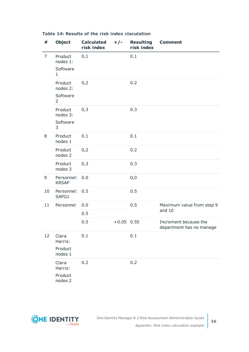| #              | <b>Object</b>                                   | <b>Calculated</b><br>risk index | $+/-$        | <b>Resulting</b><br>risk index | <b>Comment</b>                                    |
|----------------|-------------------------------------------------|---------------------------------|--------------|--------------------------------|---------------------------------------------------|
| $\overline{7}$ | Product<br>nodes 1:<br>Software<br>$\mathbf{1}$ | 0,1                             |              | 0.1                            |                                                   |
|                | Product<br>nodes 2:<br>Software<br>2            | 0,2                             |              | 0.2                            |                                                   |
|                | Product<br>nodes 3:<br>Software<br>3            | 0,3                             |              | 0.3                            |                                                   |
| 8              | Product<br>nodes 1                              | 0.1                             |              | 0.1                            |                                                   |
|                | Product<br>nodes 2                              | 0,2                             |              | 0.2                            |                                                   |
|                | Product<br>nodes 3                              | 0,3                             |              | 0.3                            |                                                   |
| 9              | Personnel:<br><b>KRSAP</b>                      | 0.0                             |              | 0,0                            |                                                   |
| 10             | Personnel:<br>SAPG1                             | 0.5                             |              | 0.5                            |                                                   |
| 11             | Personnel                                       | 0.0                             |              | 0.5                            | Maximum value from step 9<br>and 10               |
|                |                                                 | 0.5                             |              |                                |                                                   |
|                |                                                 | 0.5                             | $+0.05$ 0.55 |                                | Increment because the<br>department has no manage |
| 12             | Clara<br>Harris:<br>Product<br>nodes 1          | 0.1                             |              | 0.1                            |                                                   |
|                | Clara<br>Harris:<br>Product<br>nodes 2          | 0.2                             |              | 0.2                            |                                                   |

#### **Table 14: Results of the risk index claculation**

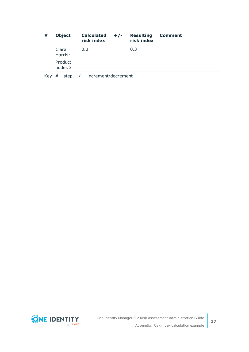| # | <b>Object</b>      | Calculated $+/-$<br>risk index | <b>Resulting</b><br>risk index | <b>Comment</b> |
|---|--------------------|--------------------------------|--------------------------------|----------------|
|   | Clara<br>Harris:   | 0.3                            | 0.3                            |                |
|   | Product<br>nodes 3 |                                |                                |                |

Key: # – step, +/- – increment/decrement

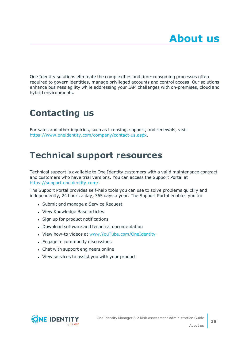<span id="page-37-0"></span>One Identity solutions eliminate the complexities and time-consuming processes often required to govern identities, manage privileged accounts and control access. Our solutions enhance business agility while addressing your IAM challenges with on-premises, cloud and hybrid environments.

# <span id="page-37-1"></span>**Contacting us**

For sales and other inquiries, such as licensing, support, and renewals, visit <https://www.oneidentity.com/company/contact-us.aspx>.

# <span id="page-37-2"></span>**Technical support resources**

Technical support is available to One Identity customers with a valid maintenance contract and customers who have trial versions. You can access the Support Portal at [https://support.oneidentity.com/.](https://support.oneidentity.com/)

The Support Portal provides self-help tools you can use to solve problems quickly and independently, 24 hours a day, 365 days a year. The Support Portal enables you to:

- Submit and manage a Service Request
- View Knowledge Base articles
- Sign up for product notifications
- Download software and technical documentation
- View how-to videos at [www.YouTube.com/OneIdentity](http://www.youtube.com/OneIdentity)
- Engage in community discussions
- Chat with support engineers online
- View services to assist you with your product

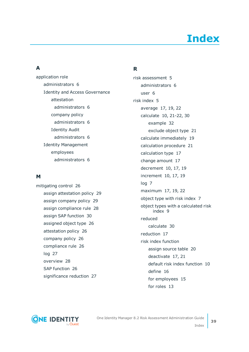# **Index**

### <span id="page-38-0"></span>**A**

application role administrators [6](#page-5-0) Identity and Access Governance attestation administrators [6](#page-5-0) company policy administrators [6](#page-5-0) Identity Audit administrators [6](#page-5-0) Identity Management employees administrators [6](#page-5-0)

#### **M**

mitigating control [26](#page-25-0) assign attestation policy [29](#page-28-0) assign company policy [29](#page-28-1) assign compliance rule [28](#page-27-2) assign SAP function [30](#page-29-0) assigned object type [26](#page-25-1) attestation policy [26](#page-25-1) company policy [26](#page-25-1) compliance rule [26](#page-25-1) log [27](#page-26-0) overview [28](#page-27-1) SAP function [26](#page-25-1) significance reduction [27](#page-26-0)

### **R**

risk assessment [5](#page-4-0) administrators [6](#page-5-0) user [6](#page-5-0) risk index [5](#page-4-0) average [17](#page-16-0), [19](#page-18-0), [22](#page-21-0) calculate [10](#page-9-0), [21-22](#page-20-1), [30](#page-29-1) example [32](#page-31-0) exclude object type [21](#page-20-0) calculate immediately [19](#page-18-0) calculation procedure [21](#page-20-2) calculation type [17](#page-16-0) change amount [17](#page-16-0) decrement [10](#page-9-0), [17,](#page-16-0) [19](#page-18-0) increment [10](#page-9-0), [17,](#page-16-0) [19](#page-18-0) log [7](#page-6-0) maximum [17](#page-16-0), [19,](#page-18-0) [22](#page-21-0) object type with risk index [7](#page-6-0) object types with a calculated risk index [9](#page-8-0) reduced calculate [30](#page-29-1) reduction [17](#page-16-0) risk index function assign source table [20](#page-19-1) deactivate [17](#page-16-0), [21](#page-20-0) default risk index function [10](#page-9-0) define [16](#page-15-0) for employees [15](#page-14-0) for roles [13](#page-12-0)



**39**